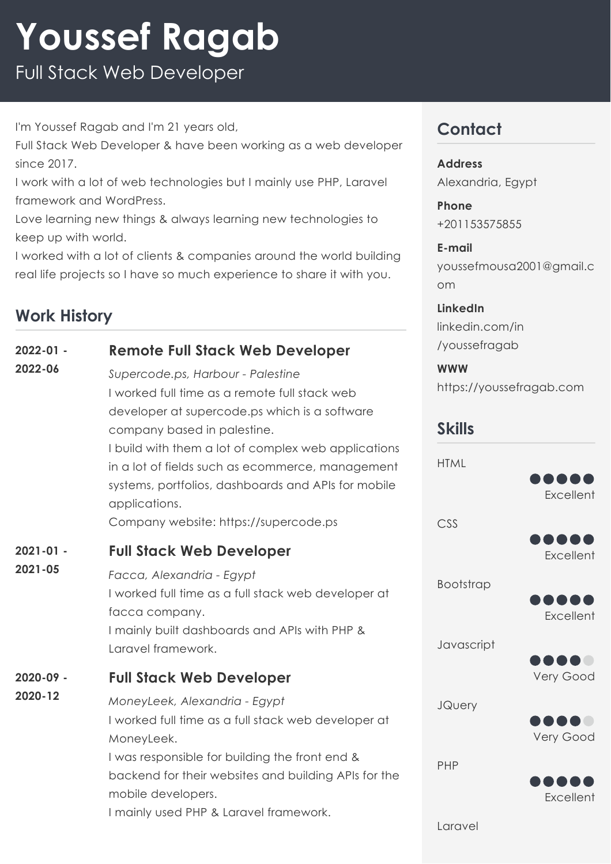# **Youssef Ragab**

Full Stack Web Developer

I'm Youssef Ragab and I'm 21 years old,

Full Stack Web Developer & have been working as a web developer since 2017.

I work with a lot of web technologies but I mainly use PHP, Laravel framework and WordPress.

Love learning new things & always learning new technologies to keep up with world.

I worked with a lot of clients & companies around the world building real life projects so I have so much experience to share it with you.

#### **Work History**

|                          |                                                                                                                                                                                                                                                                                                                                                                                                | 111 111 \UUTI 1.\UUTI 11 11 11 11 |
|--------------------------|------------------------------------------------------------------------------------------------------------------------------------------------------------------------------------------------------------------------------------------------------------------------------------------------------------------------------------------------------------------------------------------------|-----------------------------------|
| $2022 - 01 -$<br>2022-06 | <b>Remote Full Stack Web Developer</b>                                                                                                                                                                                                                                                                                                                                                         | /youssefragab                     |
|                          | Supercode.ps, Harbour - Palestine<br>I worked full time as a remote full stack web<br>developer at supercode.ps which is a software<br>company based in palestine.<br>I build with them a lot of complex web applications<br>in a lot of fields such as ecommerce, management<br>systems, portfolios, dashboards and APIs for mobile<br>applications.<br>Company website: https://supercode.ps | <b>WWW</b><br>https://youssefr    |
|                          |                                                                                                                                                                                                                                                                                                                                                                                                | <b>Skills</b>                     |
|                          |                                                                                                                                                                                                                                                                                                                                                                                                | <b>HTML</b><br>CSS                |
| $2021 - 01 -$<br>2021-05 | <b>Full Stack Web Developer</b>                                                                                                                                                                                                                                                                                                                                                                |                                   |
|                          | Facca, Alexandria - Egypt<br>I worked full time as a full stack web developer at<br>facca company.                                                                                                                                                                                                                                                                                             | Bootstrap                         |
|                          | I mainly built dashboards and APIs with PHP &<br>Laravel framework.                                                                                                                                                                                                                                                                                                                            | Javascript                        |
| 2020-09 -<br>2020-12     | <b>Full Stack Web Developer</b>                                                                                                                                                                                                                                                                                                                                                                |                                   |
|                          | MoneyLeek, Alexandria - Egypt<br>I worked full time as a full stack web developer at<br>MoneyLeek.                                                                                                                                                                                                                                                                                             | <b>JQuery</b>                     |
|                          | I was responsible for building the front end &<br>backend for their websites and building APIs for the<br>mobile developers.                                                                                                                                                                                                                                                                   | PHP                               |
|                          | I mainly used PHP & Laravel framework.                                                                                                                                                                                                                                                                                                                                                         | Laravel                           |

## **Contact**

**Address** Alexandria, Egypt

**Phone** +201153575855

**E-mail** youssefmousa2001@gmail.c om

**LinkedIn** linkedin.com/in

agab.com











**Excellent**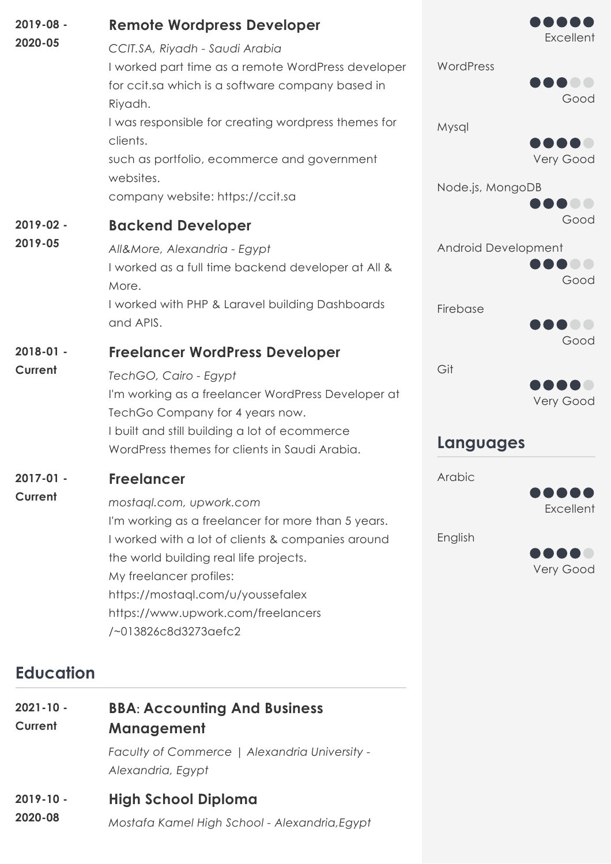| $2019 - 08 -$<br>2020-05 | <b>Remote Wordpress Developer</b><br>CCIT.SA, Riyadh - Saudi Arabia<br>I worked part time as a remote WordPress developer<br>for ccit.sa which is a software company based in<br>Riyadh.<br>I was responsible for creating wordpress themes for<br>clients.<br>such as portfolio, ecommerce and government<br>websites.         | Excellent<br>WordPress<br>Good<br>Mysql<br>Very Good |
|--------------------------|---------------------------------------------------------------------------------------------------------------------------------------------------------------------------------------------------------------------------------------------------------------------------------------------------------------------------------|------------------------------------------------------|
|                          | company website: https://ccit.sa                                                                                                                                                                                                                                                                                                | Node.js, MongoDB<br>Good                             |
| $2019 - 02 -$<br>2019-05 | <b>Backend Developer</b><br>All&More, Alexandria - Egypt<br>I worked as a full time backend developer at All &<br>More.                                                                                                                                                                                                         | Android Development<br>Good                          |
|                          | I worked with PHP & Laravel building Dashboards<br>and APIS.                                                                                                                                                                                                                                                                    | Firebase<br>Good                                     |
| $2018 - 01 -$<br>Current | <b>Freelancer WordPress Developer</b><br>TechGO, Cairo - Egypt<br>I'm working as a freelancer WordPress Developer at<br>TechGo Company for 4 years now.<br>I built and still building a lot of ecommerce<br>WordPress themes for clients in Saudi Arabia.                                                                       | Git<br>Very Good<br>Languages                        |
| $2017 - 01 -$<br>Current | <b>Freelancer</b><br>mostagl.com, upwork.com<br>I'm working as a freelancer for more than 5 years.<br>I worked with a lot of clients & companies around<br>the world building real life projects.<br>My freelancer profiles:<br>https://mostaql.com/u/youssefalex<br>https://www.upwork.com/freelancers<br>/~013826c8d3273aefc2 | Arabic<br>Excellent<br>English<br>Very Good          |

## **Education**

| $2021 - 10 -$ | <b>BBA: Accounting And Business</b>                                |  |
|---------------|--------------------------------------------------------------------|--|
| Current       | Management                                                         |  |
|               | Faculty of Commerce   Alexandria University -<br>Alexandria, Egypt |  |

#### **High School Diploma 2019-10 -**

*Mostafa Kamel High School - Alexandria,Egypt* **2020-08**